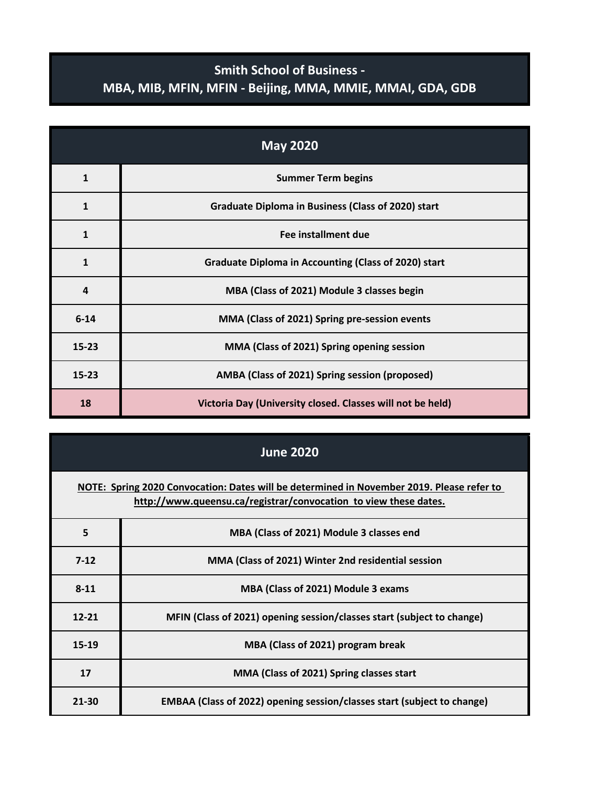## **Smith School of Business - MBA, MIB, MFIN, MFIN - Beijing, MMA, MMIE, MMAI, GDA, GDB**

| <b>May 2020</b> |                                                             |
|-----------------|-------------------------------------------------------------|
| $\mathbf{1}$    | <b>Summer Term begins</b>                                   |
| 1               | <b>Graduate Diploma in Business (Class of 2020) start</b>   |
| $\mathbf{1}$    | Fee installment due                                         |
| $\mathbf{1}$    | <b>Graduate Diploma in Accounting (Class of 2020) start</b> |
| 4               | MBA (Class of 2021) Module 3 classes begin                  |
| $6 - 14$        | MMA (Class of 2021) Spring pre-session events               |
| $15 - 23$       | MMA (Class of 2021) Spring opening session                  |
| $15 - 23$       | AMBA (Class of 2021) Spring session (proposed)              |
| 18              | Victoria Day (University closed. Classes will not be held)  |

| <b>June 2020</b>                                                                                                                                              |                                                                         |  |
|---------------------------------------------------------------------------------------------------------------------------------------------------------------|-------------------------------------------------------------------------|--|
| NOTE: Spring 2020 Convocation: Dates will be determined in November 2019. Please refer to<br>http://www.queensu.ca/registrar/convocation to view these dates. |                                                                         |  |
| 5                                                                                                                                                             | MBA (Class of 2021) Module 3 classes end                                |  |
| $7-12$                                                                                                                                                        | MMA (Class of 2021) Winter 2nd residential session                      |  |
| $8 - 11$                                                                                                                                                      | MBA (Class of 2021) Module 3 exams                                      |  |
| $12 - 21$                                                                                                                                                     | MFIN (Class of 2021) opening session/classes start (subject to change)  |  |
| $15-19$                                                                                                                                                       | MBA (Class of 2021) program break                                       |  |
| 17                                                                                                                                                            | MMA (Class of 2021) Spring classes start                                |  |
| $21 - 30$                                                                                                                                                     | EMBAA (Class of 2022) opening session/classes start (subject to change) |  |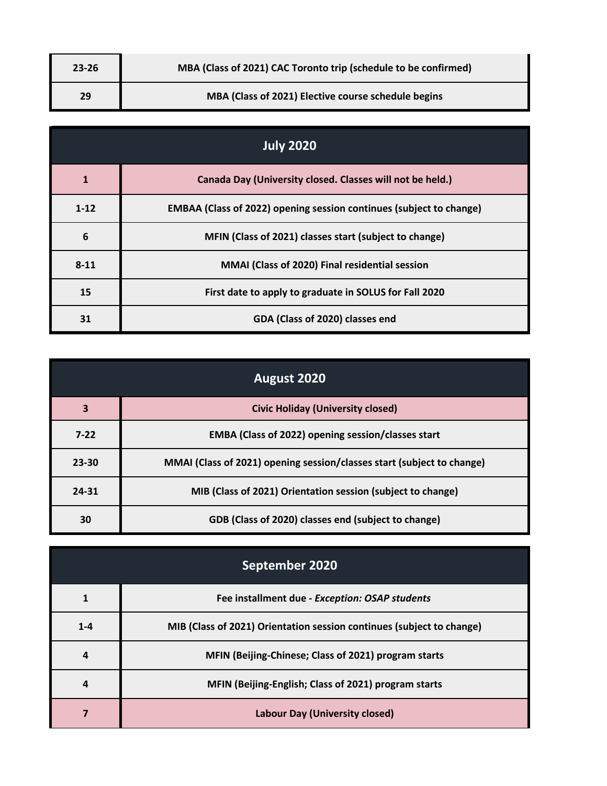| $23 - 26$ | MBA (Class of 2021) CAC Toronto trip (schedule to be confirmed) |
|-----------|-----------------------------------------------------------------|
| 29        | MBA (Class of 2021) Elective course schedule begins             |

| <b>July 2020</b> |                                                                            |
|------------------|----------------------------------------------------------------------------|
| 1                | Canada Day (University closed. Classes will not be held.)                  |
| $1 - 12$         | <b>EMBAA (Class of 2022) opening session continues (subject to change)</b> |
| 6                | MFIN (Class of 2021) classes start (subject to change)                     |
| $8 - 11$         | MMAI (Class of 2020) Final residential session                             |
| 15               | First date to apply to graduate in SOLUS for Fall 2020                     |
| 31               | GDA (Class of 2020) classes end                                            |

| August 2020             |                                                                        |
|-------------------------|------------------------------------------------------------------------|
| $\overline{\mathbf{3}}$ | <b>Civic Holiday (University closed)</b>                               |
| $7-22$                  | EMBA (Class of 2022) opening session/classes start                     |
| $23 - 30$               | MMAI (Class of 2021) opening session/classes start (subject to change) |
| $24 - 31$               | MIB (Class of 2021) Orientation session (subject to change)            |
| 30                      | GDB (Class of 2020) classes end (subject to change)                    |

| September 2020 |                                                                       |
|----------------|-----------------------------------------------------------------------|
|                | Fee installment due - Exception: OSAP students                        |
| $1 - 4$        | MIB (Class of 2021) Orientation session continues (subject to change) |
|                | MFIN (Beijing-Chinese; Class of 2021) program starts                  |
| 4              | MFIN (Beijing-English; Class of 2021) program starts                  |
|                | <b>Labour Day (University closed)</b>                                 |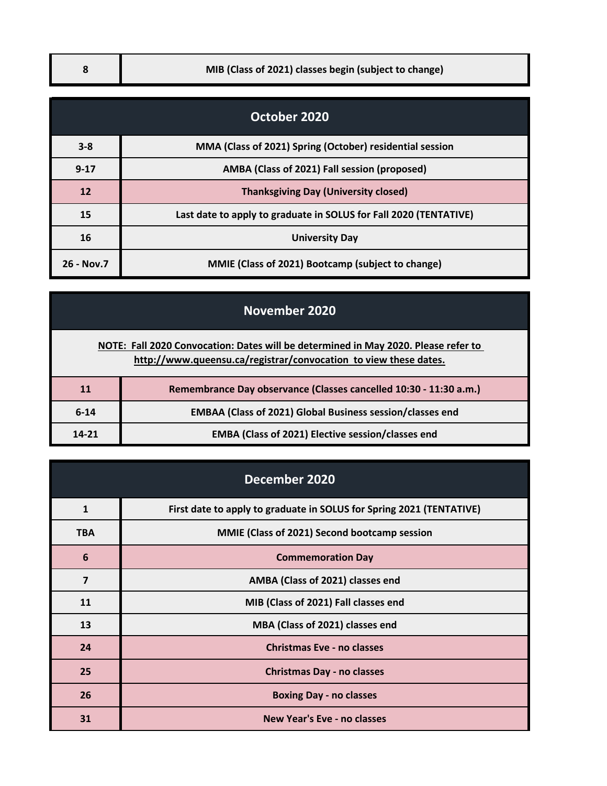## **8 MIB (Class of 2021) classes begin (subject to change)**

| October 2020 |                                                                   |  |
|--------------|-------------------------------------------------------------------|--|
| $3 - 8$      | MMA (Class of 2021) Spring (October) residential session          |  |
| $9 - 17$     | AMBA (Class of 2021) Fall session (proposed)                      |  |
| 12           | <b>Thanksgiving Day (University closed)</b>                       |  |
| 15           | Last date to apply to graduate in SOLUS for Fall 2020 (TENTATIVE) |  |
| 16           | <b>University Day</b>                                             |  |
| 26 - Nov.7   | MMIE (Class of 2021) Bootcamp (subject to change)                 |  |

|                                                                                                                                                        | November 2020                                                     |  |
|--------------------------------------------------------------------------------------------------------------------------------------------------------|-------------------------------------------------------------------|--|
| NOTE: Fall 2020 Convocation: Dates will be determined in May 2020. Please refer to<br>http://www.queensu.ca/registrar/convocation to view these dates. |                                                                   |  |
| 11                                                                                                                                                     | Remembrance Day observance (Classes cancelled 10:30 - 11:30 a.m.) |  |
| $6 - 14$                                                                                                                                               | <b>EMBAA (Class of 2021) Global Business session/classes end</b>  |  |
| $14 - 21$                                                                                                                                              | EMBA (Class of 2021) Elective session/classes end                 |  |

| December 2020 |                                                                      |
|---------------|----------------------------------------------------------------------|
| $\mathbf{1}$  | First date to apply to graduate in SOLUS for Spring 2021 (TENTATIVE) |
| <b>TBA</b>    | MMIE (Class of 2021) Second bootcamp session                         |
| 6             | <b>Commemoration Day</b>                                             |
| 7             | AMBA (Class of 2021) classes end                                     |
| 11            | MIB (Class of 2021) Fall classes end                                 |
| 13            | MBA (Class of 2021) classes end                                      |
| 24            | <b>Christmas Eve - no classes</b>                                    |
| 25            | <b>Christmas Day - no classes</b>                                    |
| 26            | <b>Boxing Day - no classes</b>                                       |
| 31            | <b>New Year's Eve - no classes</b>                                   |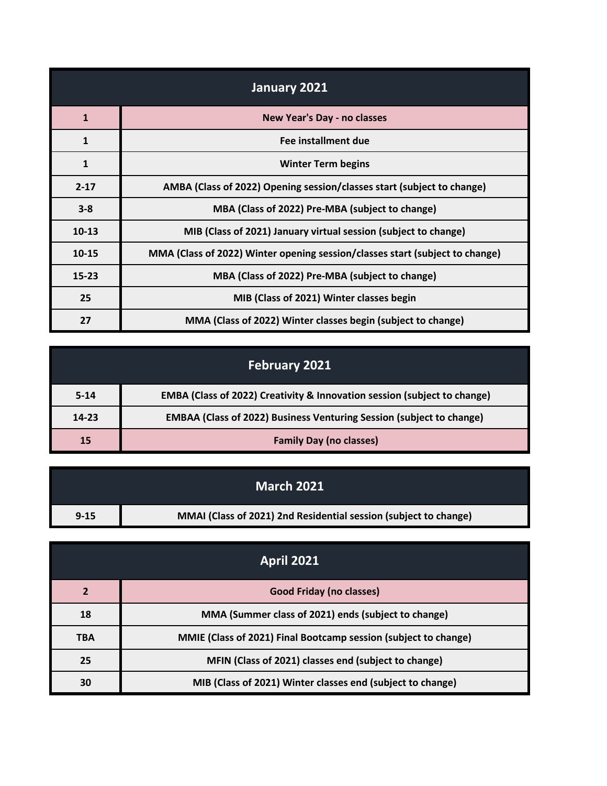| January 2021 |                                                                              |
|--------------|------------------------------------------------------------------------------|
| $\mathbf{1}$ | <b>New Year's Day - no classes</b>                                           |
| $\mathbf{1}$ | Fee installment due                                                          |
| $\mathbf{1}$ | <b>Winter Term begins</b>                                                    |
| $2 - 17$     | AMBA (Class of 2022) Opening session/classes start (subject to change)       |
| $3 - 8$      | MBA (Class of 2022) Pre-MBA (subject to change)                              |
| $10 - 13$    | MIB (Class of 2021) January virtual session (subject to change)              |
| $10 - 15$    | MMA (Class of 2022) Winter opening session/classes start (subject to change) |
| $15 - 23$    | MBA (Class of 2022) Pre-MBA (subject to change)                              |
| 25           | MIB (Class of 2021) Winter classes begin                                     |
| 27           | MMA (Class of 2022) Winter classes begin (subject to change)                 |

|           | <b>February 2021</b>                                                        |
|-----------|-----------------------------------------------------------------------------|
| $5 - 14$  | EMBA (Class of 2022) Creativity & Innovation session (subject to change)    |
| $14 - 23$ | <b>EMBAA (Class of 2022) Business Venturing Session (subject to change)</b> |
| 15        | <b>Family Day (no classes)</b>                                              |

|          | <b>March 2021</b>                                                |
|----------|------------------------------------------------------------------|
| $9 - 15$ | MMAI (Class of 2021) 2nd Residential session (subject to change) |

| <b>April 2021</b> |                                                                 |
|-------------------|-----------------------------------------------------------------|
| $\overline{2}$    | <b>Good Friday (no classes)</b>                                 |
| 18                | MMA (Summer class of 2021) ends (subject to change)             |
| <b>TBA</b>        | MMIE (Class of 2021) Final Bootcamp session (subject to change) |
| 25                | MFIN (Class of 2021) classes end (subject to change)            |
| 30                | MIB (Class of 2021) Winter classes end (subject to change)      |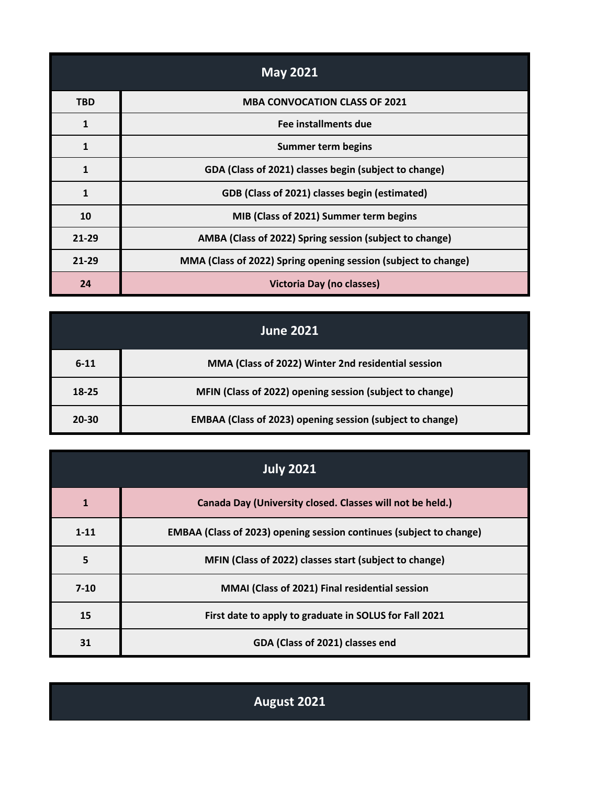| <b>May 2021</b> |                                                                |
|-----------------|----------------------------------------------------------------|
| <b>TBD</b>      | <b>MBA CONVOCATION CLASS OF 2021</b>                           |
| $\mathbf{1}$    | Fee installments due                                           |
| 1               | <b>Summer term begins</b>                                      |
| $\mathbf{1}$    | GDA (Class of 2021) classes begin (subject to change)          |
| 1               | GDB (Class of 2021) classes begin (estimated)                  |
| 10              | MIB (Class of 2021) Summer term begins                         |
| $21 - 29$       | AMBA (Class of 2022) Spring session (subject to change)        |
| $21 - 29$       | MMA (Class of 2022) Spring opening session (subject to change) |
| 24              | <b>Victoria Day (no classes)</b>                               |

|           | <b>June 2021</b>                                                 |
|-----------|------------------------------------------------------------------|
| $6 - 11$  | MMA (Class of 2022) Winter 2nd residential session               |
| 18-25     | MFIN (Class of 2022) opening session (subject to change)         |
| $20 - 30$ | <b>EMBAA (Class of 2023) opening session (subject to change)</b> |

| <b>July 2021</b> |                                                                            |
|------------------|----------------------------------------------------------------------------|
| 1                | Canada Day (University closed. Classes will not be held.)                  |
| $1 - 11$         | <b>EMBAA (Class of 2023) opening session continues (subject to change)</b> |
| 5                | MFIN (Class of 2022) classes start (subject to change)                     |
| $7 - 10$         | MMAI (Class of 2021) Final residential session                             |
| 15               | First date to apply to graduate in SOLUS for Fall 2021                     |
| 31               | GDA (Class of 2021) classes end                                            |

**August 2021**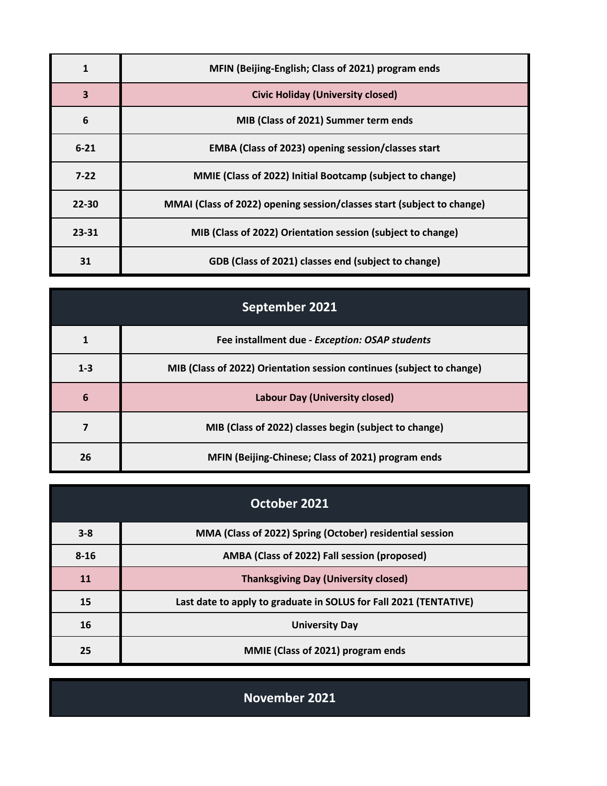|           | MFIN (Beijing-English; Class of 2021) program ends                     |
|-----------|------------------------------------------------------------------------|
| 3         | <b>Civic Holiday (University closed)</b>                               |
| 6         | MIB (Class of 2021) Summer term ends                                   |
| $6 - 21$  | EMBA (Class of 2023) opening session/classes start                     |
| $7 - 22$  | MMIE (Class of 2022) Initial Bootcamp (subject to change)              |
| $22 - 30$ | MMAI (Class of 2022) opening session/classes start (subject to change) |
| $23 - 31$ | MIB (Class of 2022) Orientation session (subject to change)            |
| 31        | GDB (Class of 2021) classes end (subject to change)                    |

| September 2021 |                                                                       |
|----------------|-----------------------------------------------------------------------|
|                | Fee installment due - Exception: OSAP students                        |
| $1 - 3$        | MIB (Class of 2022) Orientation session continues (subject to change) |
| 6              | <b>Labour Day (University closed)</b>                                 |
|                | MIB (Class of 2022) classes begin (subject to change)                 |
| 26             | MFIN (Beijing-Chinese; Class of 2021) program ends                    |

| October 2021 |                                                                   |
|--------------|-------------------------------------------------------------------|
| $3 - 8$      | MMA (Class of 2022) Spring (October) residential session          |
| $8 - 16$     | AMBA (Class of 2022) Fall session (proposed)                      |
| 11           | <b>Thanksgiving Day (University closed)</b>                       |
| 15           | Last date to apply to graduate in SOLUS for Fall 2021 (TENTATIVE) |
| 16           | <b>University Day</b>                                             |
| 25           | MMIE (Class of 2021) program ends                                 |

**November 2021**